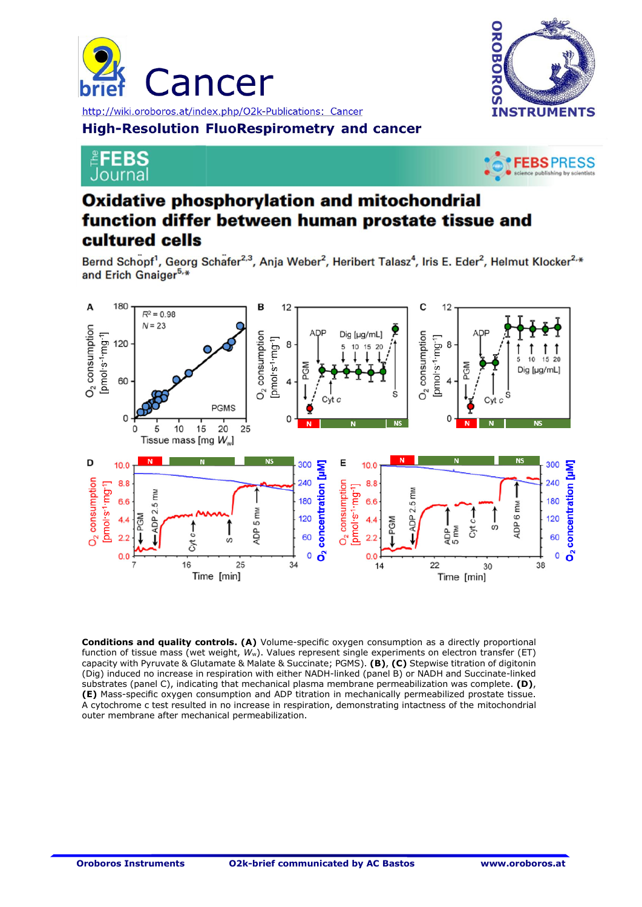





## **EFEBS** Journal



## **Oxidative phosphorylation and mitochondrial Analysis protocols for investigating mitochondrial metabolic pathways and different segments of the electron transfer system in permeabilized prostate**

Bernd Schopf<sup>1</sup>, Georg Schafer<sup>2,3</sup>, Anja Weber<sup>2</sup>, Heribert Talasz<sup>4</sup>, Iris E. Eder<sup>2</sup>, Helmut Klocker<sup>2,\*</sup> and Erich Gnaiger<sup>5,\*</sup>



**Conditions and quality controls. (A)** Volume-specific oxygen consumption as a directly proportional function of tissue mass (wet weight, *W*w). Values represent single experiments on electron transfer (ET) capacity with Pyruvate & Glutamate & Malate & Succinate; PGMS). **(B)**, **(C)** Stepwise titration of digitonin (Dig) induced no increase in respiration with either NADH-linked (panel B) or NADH and Succinate-linked substrates (panel C), indicating that mechanical plasma membrane permeabilization was complete. **(D)**, **(E)** Mass-specific oxygen consumption and ADP titration in mechanically permeabilized prostate tissue. A cytochrome c test resulted in no increase in respiration, demonstrating intactness of the mitochondrial outer membrane after mechanical permeabilization.